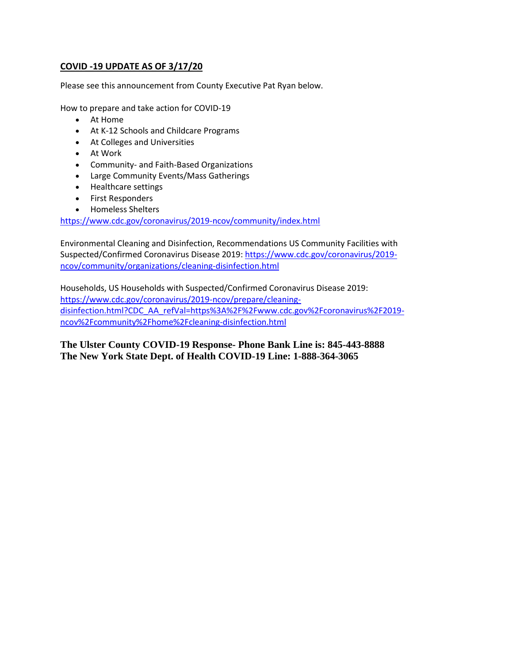## **COVID -19 UPDATE AS OF 3/17/20**

Please see this announcement from County Executive Pat Ryan below.

How to prepare and take action for COVID-19

- At Home
- At K-12 Schools and Childcare Programs
- At Colleges and Universities
- At Work
- Community- and Faith-Based Organizations
- Large Community Events/Mass Gatherings
- Healthcare settings
- First Responders
- Homeless Shelters

[https://www.cdc.gov/coronavirus/2019-ncov/community/index.html](https://gcc02.safelinks.protection.outlook.com/?url=https%3A%2F%2Fwww.cdc.gov%2Fcoronavirus%2F2019-ncov%2Fcommunity%2Findex.html&data=02%7C01%7Cdazn%40co.ulster.ny.us%7C356fe249f290457490b808d7c9c290ea%7C9eeb6ad135c044d88e8bf0e5c44ca2a3%7C0%7C0%7C637199709800469816&sdata=IV4g0CPsi2Ez2EDDNsxNNIxJhG7iUDbkJUlstl83R%2Fo%3D&reserved=0)

Environmental Cleaning and Disinfection, Recommendations US Community Facilities with Suspected/Confirmed Coronavirus Disease 2019[: https://www.cdc.gov/coronavirus/2019](https://gcc02.safelinks.protection.outlook.com/?url=https%3A%2F%2Fwww.cdc.gov%2Fcoronavirus%2F2019-ncov%2Fcommunity%2Forganizations%2Fcleaning-disinfection.html&data=02%7C01%7Cdazn%40co.ulster.ny.us%7C356fe249f290457490b808d7c9c290ea%7C9eeb6ad135c044d88e8bf0e5c44ca2a3%7C0%7C0%7C637199709800469816&sdata=rHFj7YNVewlJgjD%2FDXNkaQYp0pmiF6FjYyWv2aKtNzU%3D&reserved=0) [ncov/community/organizations/cleaning-disinfection.html](https://gcc02.safelinks.protection.outlook.com/?url=https%3A%2F%2Fwww.cdc.gov%2Fcoronavirus%2F2019-ncov%2Fcommunity%2Forganizations%2Fcleaning-disinfection.html&data=02%7C01%7Cdazn%40co.ulster.ny.us%7C356fe249f290457490b808d7c9c290ea%7C9eeb6ad135c044d88e8bf0e5c44ca2a3%7C0%7C0%7C637199709800469816&sdata=rHFj7YNVewlJgjD%2FDXNkaQYp0pmiF6FjYyWv2aKtNzU%3D&reserved=0)

Households, US Households with Suspected/Confirmed Coronavirus Disease 2019: [https://www.cdc.gov/coronavirus/2019-ncov/prepare/cleaning](https://gcc02.safelinks.protection.outlook.com/?url=https%3A%2F%2Fwww.cdc.gov%2Fcoronavirus%2F2019-ncov%2Fprepare%2Fcleaning-disinfection.html%3FCDC_AA_refVal%3Dhttps%253A%252F%252Fwww.cdc.gov%252Fcoronavirus%252F2019-ncov%252Fcommunity%252Fhome%252Fcleaning-disinfection.html&data=02%7C01%7Cdazn%40co.ulster.ny.us%7C356fe249f290457490b808d7c9c290ea%7C9eeb6ad135c044d88e8bf0e5c44ca2a3%7C0%7C0%7C637199709800479770&sdata=UHhhF1FSLlQNv7qSmVoyYxczAfAKYy7zafy%2BaUZyYGk%3D&reserved=0)[disinfection.html?CDC\\_AA\\_refVal=https%3A%2F%2Fwww.cdc.gov%2Fcoronavirus%2F2019](https://gcc02.safelinks.protection.outlook.com/?url=https%3A%2F%2Fwww.cdc.gov%2Fcoronavirus%2F2019-ncov%2Fprepare%2Fcleaning-disinfection.html%3FCDC_AA_refVal%3Dhttps%253A%252F%252Fwww.cdc.gov%252Fcoronavirus%252F2019-ncov%252Fcommunity%252Fhome%252Fcleaning-disinfection.html&data=02%7C01%7Cdazn%40co.ulster.ny.us%7C356fe249f290457490b808d7c9c290ea%7C9eeb6ad135c044d88e8bf0e5c44ca2a3%7C0%7C0%7C637199709800479770&sdata=UHhhF1FSLlQNv7qSmVoyYxczAfAKYy7zafy%2BaUZyYGk%3D&reserved=0) [ncov%2Fcommunity%2Fhome%2Fcleaning-disinfection.html](https://gcc02.safelinks.protection.outlook.com/?url=https%3A%2F%2Fwww.cdc.gov%2Fcoronavirus%2F2019-ncov%2Fprepare%2Fcleaning-disinfection.html%3FCDC_AA_refVal%3Dhttps%253A%252F%252Fwww.cdc.gov%252Fcoronavirus%252F2019-ncov%252Fcommunity%252Fhome%252Fcleaning-disinfection.html&data=02%7C01%7Cdazn%40co.ulster.ny.us%7C356fe249f290457490b808d7c9c290ea%7C9eeb6ad135c044d88e8bf0e5c44ca2a3%7C0%7C0%7C637199709800479770&sdata=UHhhF1FSLlQNv7qSmVoyYxczAfAKYy7zafy%2BaUZyYGk%3D&reserved=0)

**The Ulster County COVID-19 Response- Phone Bank Line is: 845-443-8888 The New York State Dept. of Health COVID-19 Line: 1-888-364-3065**